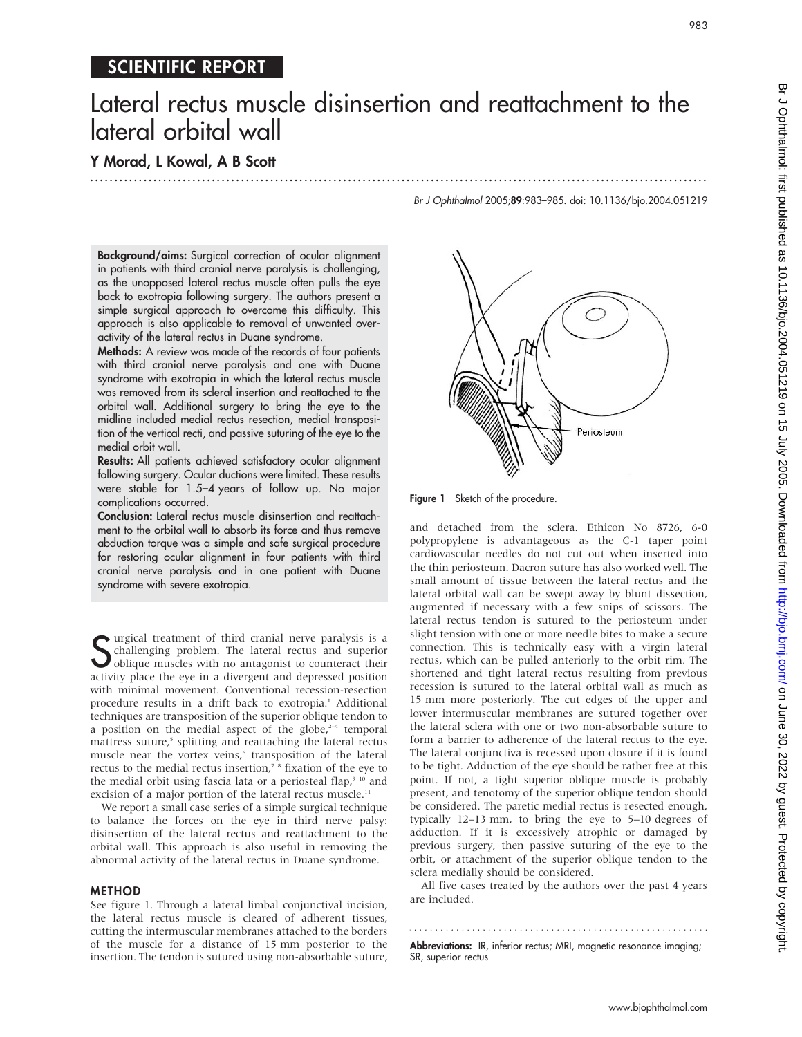# SCIENTIFIC REPORT

# Lateral rectus muscle disinsertion and reattachment to the lateral orbital wall

...............................................................................................................................

# Y Morad, L Kowal, A B Scott

Br J Ophthalmol 2005;89:983–985. doi: 10.1136/bjo.2004.051219

Background/aims: Surgical correction of ocular alignment in patients with third cranial nerve paralysis is challenging, as the unopposed lateral rectus muscle often pulls the eye back to exotropia following surgery. The authors present a simple surgical approach to overcome this difficulty. This approach is also applicable to removal of unwanted overactivity of the lateral rectus in Duane syndrome.

Methods: A review was made of the records of four patients with third cranial nerve paralysis and one with Duane syndrome with exotropia in which the lateral rectus muscle was removed from its scleral insertion and reattached to the orbital wall. Additional surgery to bring the eye to the midline included medial rectus resection, medial transposition of the vertical recti, and passive suturing of the eye to the medial orbit wall.

Results: All patients achieved satisfactory ocular alignment following surgery. Ocular ductions were limited. These results were stable for 1.5–4 years of follow up. No major complications occurred.

Conclusion: Lateral rectus muscle disinsertion and reattachment to the orbital wall to absorb its force and thus remove abduction torque was a simple and safe surgical procedure for restoring ocular alignment in four patients with third cranial nerve paralysis and in one patient with Duane syndrome with severe exotropia.

Surgical treatment of third cranial nerve paralysis is a challenging problem. The lateral rectus and superior oblique muscles with no antagonist to counteract their challenging problem. The lateral rectus and superior oblique muscles with no antagonist to counteract their activity place the eye in a divergent and depressed position with minimal movement. Conventional recession-resection procedure results in a drift back to exotropia.<sup>1</sup> Additional techniques are transposition of the superior oblique tendon to a position on the medial aspect of the globe, $2-4$  temporal mattress suture,<sup>5</sup> splitting and reattaching the lateral rectus muscle near the vortex veins,<sup>6</sup> transposition of the lateral rectus to the medial rectus insertion, $7^{\circ}$  fixation of the eye to the medial orbit using fascia lata or a periosteal flap,<sup>9 10</sup> and excision of a major portion of the lateral rectus muscle.<sup>11</sup>

We report a small case series of a simple surgical technique to balance the forces on the eye in third nerve palsy: disinsertion of the lateral rectus and reattachment to the orbital wall. This approach is also useful in removing the abnormal activity of the lateral rectus in Duane syndrome.

## METHOD

See figure 1. Through a lateral limbal conjunctival incision, the lateral rectus muscle is cleared of adherent tissues, cutting the intermuscular membranes attached to the borders of the muscle for a distance of 15 mm posterior to the insertion. The tendon is sutured using non-absorbable suture,



Figure 1 Sketch of the procedure.

and detached from the sclera. Ethicon No 8726, 6-0 polypropylene is advantageous as the C-1 taper point cardiovascular needles do not cut out when inserted into the thin periosteum. Dacron suture has also worked well. The small amount of tissue between the lateral rectus and the lateral orbital wall can be swept away by blunt dissection, augmented if necessary with a few snips of scissors. The lateral rectus tendon is sutured to the periosteum under slight tension with one or more needle bites to make a secure connection. This is technically easy with a virgin lateral rectus, which can be pulled anteriorly to the orbit rim. The shortened and tight lateral rectus resulting from previous recession is sutured to the lateral orbital wall as much as 15 mm more posteriorly. The cut edges of the upper and lower intermuscular membranes are sutured together over the lateral sclera with one or two non-absorbable suture to form a barrier to adherence of the lateral rectus to the eye. The lateral conjunctiva is recessed upon closure if it is found to be tight. Adduction of the eye should be rather free at this point. If not, a tight superior oblique muscle is probably present, and tenotomy of the superior oblique tendon should be considered. The paretic medial rectus is resected enough, typically 12–13 mm, to bring the eye to 5–10 degrees of adduction. If it is excessively atrophic or damaged by previous surgery, then passive suturing of the eye to the orbit, or attachment of the superior oblique tendon to the sclera medially should be considered.

All five cases treated by the authors over the past 4 years are included.

Abbreviations: IR, inferior rectus; MRI, magnetic resonance imaging; SR, superior rectus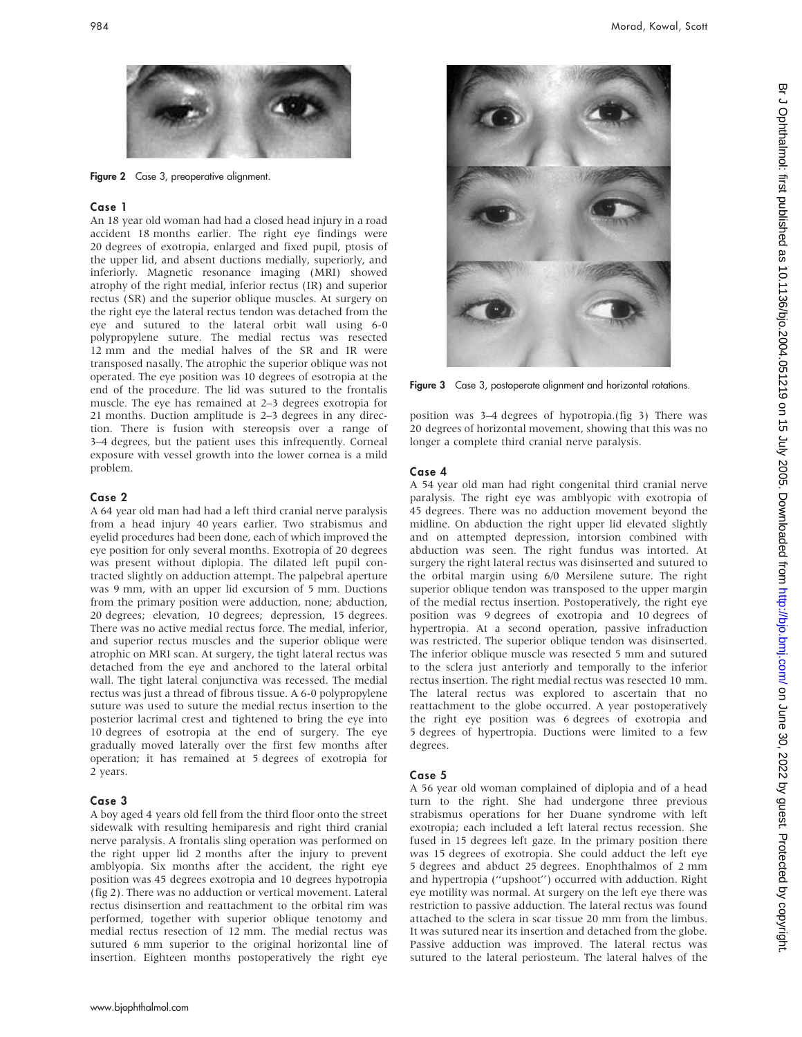

Figure 2 Case 3, preoperative alignment.

# Case 1

An 18 year old woman had had a closed head injury in a road accident 18 months earlier. The right eye findings were 20 degrees of exotropia, enlarged and fixed pupil, ptosis of the upper lid, and absent ductions medially, superiorly, and inferiorly. Magnetic resonance imaging (MRI) showed atrophy of the right medial, inferior rectus (IR) and superior rectus (SR) and the superior oblique muscles. At surgery on the right eye the lateral rectus tendon was detached from the eye and sutured to the lateral orbit wall using 6-0 polypropylene suture. The medial rectus was resected 12 mm and the medial halves of the SR and IR were transposed nasally. The atrophic the superior oblique was not operated. The eye position was 10 degrees of esotropia at the end of the procedure. The lid was sutured to the frontalis muscle. The eye has remained at 2–3 degrees exotropia for 21 months. Duction amplitude is 2–3 degrees in any direction. There is fusion with stereopsis over a range of 3–4 degrees, but the patient uses this infrequently. Corneal exposure with vessel growth into the lower cornea is a mild problem.

### Case 2

A 64 year old man had had a left third cranial nerve paralysis from a head injury 40 years earlier. Two strabismus and eyelid procedures had been done, each of which improved the eye position for only several months. Exotropia of 20 degrees was present without diplopia. The dilated left pupil contracted slightly on adduction attempt. The palpebral aperture was 9 mm, with an upper lid excursion of 5 mm. Ductions from the primary position were adduction, none; abduction, 20 degrees; elevation, 10 degrees; depression, 15 degrees. There was no active medial rectus force. The medial, inferior, and superior rectus muscles and the superior oblique were atrophic on MRI scan. At surgery, the tight lateral rectus was detached from the eye and anchored to the lateral orbital wall. The tight lateral conjunctiva was recessed. The medial rectus was just a thread of fibrous tissue. A 6-0 polypropylene suture was used to suture the medial rectus insertion to the posterior lacrimal crest and tightened to bring the eye into 10 degrees of esotropia at the end of surgery. The eye gradually moved laterally over the first few months after operation; it has remained at 5 degrees of exotropia for 2 years.

#### Case 3

A boy aged 4 years old fell from the third floor onto the street sidewalk with resulting hemiparesis and right third cranial nerve paralysis. A frontalis sling operation was performed on the right upper lid 2 months after the injury to prevent amblyopia. Six months after the accident, the right eye position was 45 degrees exotropia and 10 degrees hypotropia (fig 2). There was no adduction or vertical movement. Lateral rectus disinsertion and reattachment to the orbital rim was performed, together with superior oblique tenotomy and medial rectus resection of 12 mm. The medial rectus was sutured 6 mm superior to the original horizontal line of insertion. Eighteen months postoperatively the right eye



Figure 3 Case 3, postoperate alignment and horizontal rotations.

position was 3–4 degrees of hypotropia.(fig 3) There was 20 degrees of horizontal movement, showing that this was no longer a complete third cranial nerve paralysis.

#### Case 4

A 54 year old man had right congenital third cranial nerve paralysis. The right eye was amblyopic with exotropia of 45 degrees. There was no adduction movement beyond the midline. On abduction the right upper lid elevated slightly and on attempted depression, intorsion combined with abduction was seen. The right fundus was intorted. At surgery the right lateral rectus was disinserted and sutured to the orbital margin using 6/0 Mersilene suture. The right superior oblique tendon was transposed to the upper margin of the medial rectus insertion. Postoperatively, the right eye position was 9 degrees of exotropia and 10 degrees of hypertropia. At a second operation, passive infraduction was restricted. The superior oblique tendon was disinserted. The inferior oblique muscle was resected 5 mm and sutured to the sclera just anteriorly and temporally to the inferior rectus insertion. The right medial rectus was resected 10 mm. The lateral rectus was explored to ascertain that no reattachment to the globe occurred. A year postoperatively the right eye position was 6 degrees of exotropia and 5 degrees of hypertropia. Ductions were limited to a few degrees.

# Case 5

A 56 year old woman complained of diplopia and of a head turn to the right. She had undergone three previous strabismus operations for her Duane syndrome with left exotropia; each included a left lateral rectus recession. She fused in 15 degrees left gaze. In the primary position there was 15 degrees of exotropia. She could adduct the left eye 5 degrees and abduct 25 degrees. Enophthalmos of 2 mm and hypertropia (''upshoot'') occurred with adduction. Right eye motility was normal. At surgery on the left eye there was restriction to passive adduction. The lateral rectus was found attached to the sclera in scar tissue 20 mm from the limbus. It was sutured near its insertion and detached from the globe. Passive adduction was improved. The lateral rectus was sutured to the lateral periosteum. The lateral halves of the